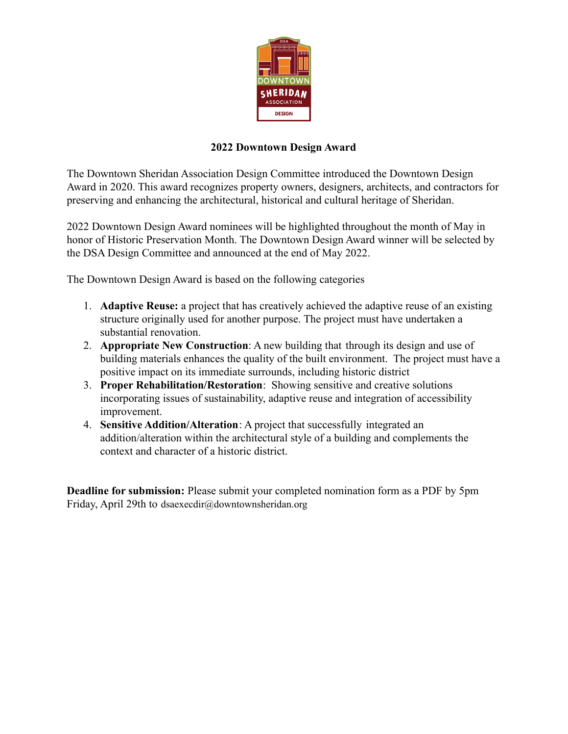

## **2022 Downtown Design Award**

The Downtown Sheridan Association Design Committee introduced the Downtown Design Award in 2020. This award recognizes property owners, designers, architects, and contractors for preserving and enhancing the architectural, historical and cultural heritage of Sheridan.

2022 Downtown Design Award nominees will be highlighted throughout the month of May in honor of Historic Preservation Month. The Downtown Design Award winner will be selected by the DSA Design Committee and announced at the end of May 2022.

The Downtown Design Award is based on the following categories

- 1. **Adaptive Reuse:** a project that has creatively achieved the adaptive reuse of an existing structure originally used for another purpose. The project must have undertaken a substantial renovation.
- 2. **Appropriate New Construction**: A new building that through its design and use of building materials enhances the quality of the built environment. The project must have a positive impact on its immediate surrounds, including historic district
- 3. **Proper Rehabilitation/Restoration**: Showing sensitive and creative solutions incorporating issues of sustainability, adaptive reuse and integration of accessibility improvement.
- 4. **Sensitive Addition/Alteration**: A project that successfully integrated an addition/alteration within the architectural style of a building and complements the context and character of a historic district.

**Deadline for submission:** Please submit your completed nomination form as a PDF by 5pm Friday, April 29th to dsaexecdir@downtownsheridan.org